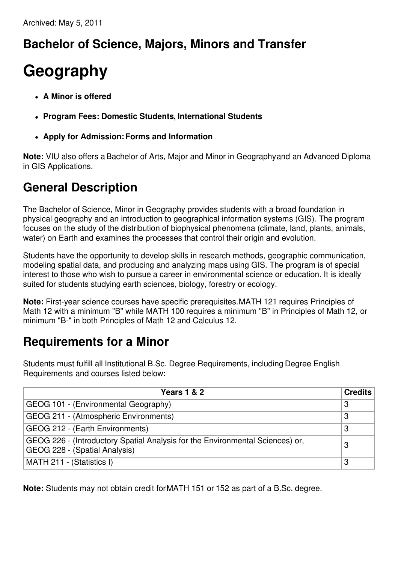## **Bachelor of Science, Majors, Minors and Transfer**

## **Geography**

- **A Minor is offered**
- **Program Fees: Domestic Students, International Students**
- **Apply for Admission:Forms and Information**

**Note:** VIU also offers aBachelor of Arts, Major and Minor in Geographyand an Advanced Diploma in GIS Applications.

## **General Description**

The Bachelor of Science, Minor in Geography provides students with a broad foundation in physical geography and an introduction to geographical information systems (GIS). The program focuses on the study of the distribution of biophysical phenomena (climate, land, plants, animals, water) on Earth and examines the processes that control their origin and evolution.

Students have the opportunity to develop skills in research methods, geographic communication, modeling spatial data, and producing and analyzing maps using GIS. The program is of special interest to those who wish to pursue a career in environmental science or education. It is ideally suited for students studying earth sciences, biology, forestry or ecology.

**Note:** First-year science courses have specific prerequisites.MATH 121 requires Principles of Math 12 with a minimum "B" while MATH 100 requires a minimum "B" in Principles of Math 12, or minimum "B-" in both Principles of Math 12 and Calculus 12.

## **Requirements for a Minor**

Students must fulfill all Institutional B.Sc. Degree Requirements, including Degree English Requirements and courses listed below:

| <b>Years 1 &amp; 2</b>                                                                                         | <b>Credits</b> |
|----------------------------------------------------------------------------------------------------------------|----------------|
| GEOG 101 - (Environmental Geography)                                                                           | -3             |
| GEOG 211 - (Atmospheric Environments)                                                                          | 3              |
| GEOG 212 - (Earth Environments)                                                                                | 3              |
| GEOG 226 - (Introductory Spatial Analysis for the Environmental Sciences) or,<br>GEOG 228 - (Spatial Analysis) | 3              |
| MATH 211 - (Statistics I)                                                                                      | 3              |

**Note:** Students may not obtain credit forMATH 151 or 152 as part of a B.Sc. degree.